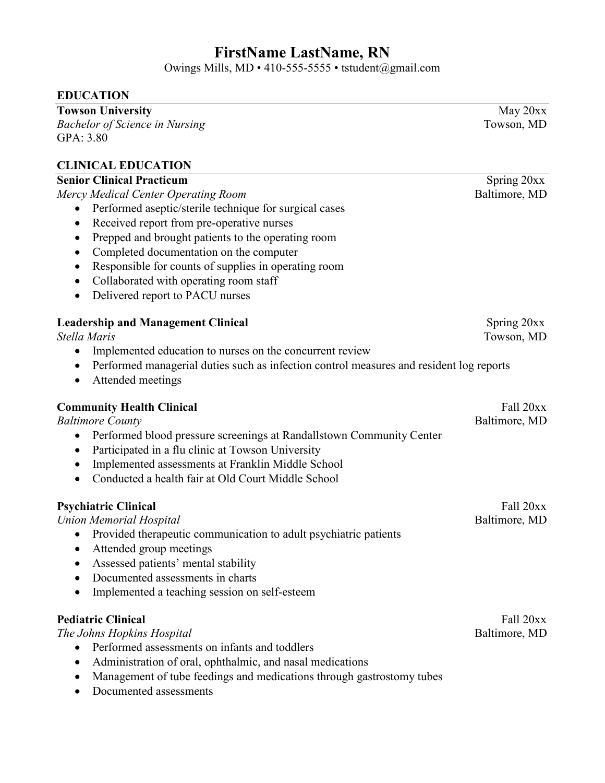# **FirstName LastName, RN**

Owings Mills, MD • 410-555-5555 • tstudent@gmail.com

| <b>EDUCATION</b>                                                                             |               |
|----------------------------------------------------------------------------------------------|---------------|
| <b>Towson University</b>                                                                     | May 20xx      |
| <b>Bachelor of Science in Nursing</b>                                                        | Towson, MD    |
| GPA: 3.80                                                                                    |               |
| <b>CLINICAL EDUCATION</b>                                                                    |               |
| <b>Senior Clinical Practicum</b>                                                             | Spring 20xx   |
| Mercy Medical Center Operating Room                                                          | Baltimore, MD |
| Performed aseptic/sterile technique for surgical cases<br>٠                                  |               |
| Received report from pre-operative nurses<br>$\bullet$                                       |               |
| Prepped and brought patients to the operating room<br>$\bullet$                              |               |
| Completed documentation on the computer<br>$\bullet$                                         |               |
| Responsible for counts of supplies in operating room<br>$\bullet$                            |               |
| Collaborated with operating room staff<br>٠                                                  |               |
| Delivered report to PACU nurses<br>$\bullet$                                                 |               |
| <b>Leadership and Management Clinical</b>                                                    | Spring 20xx   |
| Stella Maris                                                                                 | Towson, MD    |
| Implemented education to nurses on the concurrent review<br>$\bullet$                        |               |
| Performed managerial duties such as infection control measures and resident log reports<br>٠ |               |
| Attended meetings<br>$\bullet$                                                               |               |
| <b>Community Health Clinical</b>                                                             | Fall 20xx     |
| <b>Baltimore County</b>                                                                      | Baltimore, MD |
| Performed blood pressure screenings at Randallstown Community Center<br>$\bullet$            |               |
| Participated in a flu clinic at Towson University<br>٠                                       |               |
| Implemented assessments at Franklin Middle School<br>$\bullet$                               |               |
| Conducted a health fair at Old Court Middle School                                           |               |
| <b>Psychiatric Clinical</b>                                                                  | Fall 20xx     |
| <b>Union Memorial Hospital</b>                                                               | Baltimore, MD |
| Provided therapeutic communication to adult psychiatric patients                             |               |
| Attended group meetings                                                                      |               |
| Assessed patients' mental stability                                                          |               |
| Documented assessments in charts<br>$\bullet$                                                |               |
| Implemented a teaching session on self-esteem<br>$\bullet$                                   |               |
| <b>Pediatric Clinical</b>                                                                    | Fall 20xx     |
| The Johns Hopkins Hospital                                                                   | Baltimore, MD |
| Performed assessments on infants and toddlers<br>$\bullet$                                   |               |
| Administration of oral, ophthalmic, and nasal medications                                    |               |
| Management of tube feedings and medications through gastrostomy tubes<br>٠                   |               |

• Documented assessments